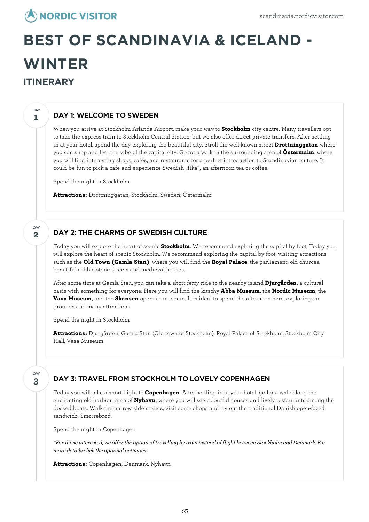## **NORDIC VISITOR**

# **BEST OF SCANDINAVIA & ICELAND - WINTER ITINERARY**

## DAY 1: WELCOME TO SWEDEN

When you arrive at Stockholm-Arlanda Airport, make your way to **Stockholm** city centre. Many travellers opt to take the express train to Stockholm Central Station, but we also offer direct private transfers. After settling in at your hotel, spend the day exploring the beautiful city. Stroll the well-known street **Drottninggatan** where you can shop and feel the vibe of the capital city. Go for a walk in the surrounding area of **Östermalm**, where you will find interesting shops, cafés, and restaurants for a perfect introduction to Scandinavian culture. It could be fun to pick a cafe and experience Swedish "fika", an afternoon tea or coffee.

Spend the night in Stockholm.

**Attractions:** Drottninggatan, Stockholm, Sweden, Östermalm

### DAY 2: THE CHARMS OF SWEDISH CULTURE

Today you willexplore the heart of scenic **Stockholm**. We recommend exploring the capital by foot, Today you willexplore the heart of scenic Stockholm. We recommend exploring the capital by foot, visiting attractions such as the **Old Town (Gamla Stan)**, where you will find the **Royal Palace**, the parliament, old churces, beautiful cobble stone streets and medieval houses.

After some time at Gamla Stan, you can take a short ferry ride to the nearby island **Djurgården**, a cultural oasis with something for everyone. Here you will find the kitschy **Abba Museum**, the **Nordic Museum**, the **Vasa Museum**, and the **Skansen** open-air museum. It is ideal to spend the afternoon here, exploring the grounds and many attractions.

Spend the night in Stockholm.

**Attractions:** Djurgården, Gamla Stan (Old town of Stockholm), Royal Palace of Stockholm, Stockholm City Hall, Vasa Museum

**3** DAY

**1**

DAY

**2**

**DAY** 

#### DAY 3: TRAVEL FROM STOCKHOLM TO LOVELY COPENHAGEN

Today you will take a short flight to **Copenhagen**. After settling in at your hotel, go for a walk along the enchanting old harbour area of **Nyhavn**, where you will see colourful houses and lively restaurants among the docked boats. Walk the narrow side streets, visit some shops and try out the traditional Danish open-faced sandwich, Smørrebrød.

Spend the night in Copenhagen.

*\*For thoseinterested, we offer the option of travelling bytrain insteadof flight between StockholmandDenmark. For*  $m$ ore *details click the optional activities.* 

**Attractions:** Copenhagen, Denmark, Nyhavn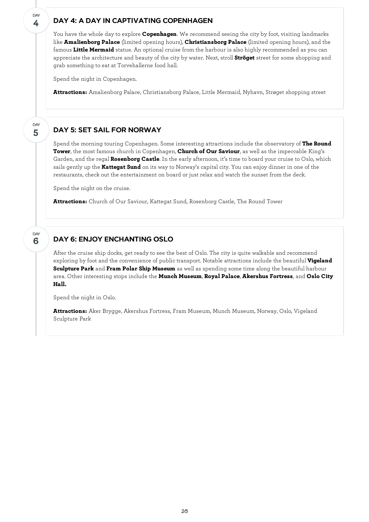#### DAY 4: A DAY IN CAPTIVATING COPENHAGEN

You have the whole day to explore **Copenhagen**. We recommend seeing the city by foot, visiting landmarks like **Amalienborg Palace** (limited opening hours), **Christiansborg Palace** (limited opening hours), and the famous **Little Mermaid** statue. An optional cruise from the harbour is also highly recommended as you can appreciate the architecture and beauty of the city by water. Next, stroll **Ströget** street for some shopping and grab something to eat at Torvehallerne food hall.

Spend the night in Copenhagen.

**4**

**DAY** 

**5**

**DAY** 

**6**

**DAY** 

**Attractions:** Amalienborg Palace, Christiansborg Palace, Little Mermaid, Nyhavn, Strøget shopping street

#### DAY 5: SET SAIL FOR NORWAY

Spend the morning touring Copenhagen. Some interesting attractions include the observatory of **The Round Tower**, the most famous church in Copenhagen, **Church of Our Saviour**, as well as the impeccable King's Garden, and the regal **Rosenborg Castle**. In the early afternoon, it's time to board your cruise to Oslo, which sails gently up the **Kattegat Sund** on its way to Norway's capital city. You can enjoy dinner in one of the restaurants, check out the entertainment on board or just relax and watch the sunset from the deck.

Spend the night on the cruise.

**Attractions:** Church of Our Saviour, Kattegat Sund, Rosenborg Castle, The Round Tower

### DAY 6: ENJOY ENCHANTING OSLO

After the cruise ship docks, get ready to see the best of Oslo. The city is quite walkable and recommend exploring by foot and the convenience of public transport. Notable attractions include the beautiful **Vigeland Sculpture Park** and **Fram Polar Ship Museum** as well as spending some time along the beautiful harbour area. Other interesting stops include the **Munch Museum**, **Royal Palace**, **Akershus Fortress**, and **Oslo City Hall.**

Spend the night in Oslo.

**Attractions:** Aker Brygge, Akershus Fortress, Fram Museum, Munch Museum, Norway, Oslo, Vigeland Sculpture Park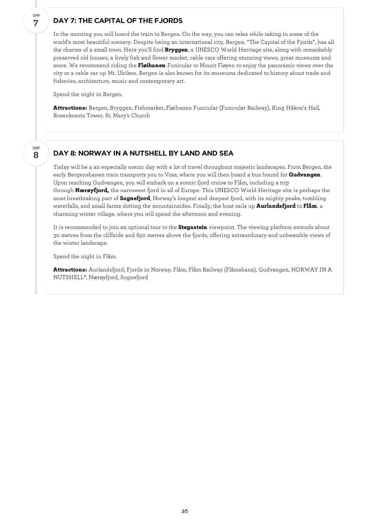#### DAY 7: THE CAPITAL OF THE FJORDS

In the morning you will board the train to Bergen. On the way, you can relax while taking in some of the world's most beautiful scenery. Despite being an international city, Bergen, "The Capital of the Fjords", has all the charms of a small town. Here you'll find **Bryggen**, a UNESCO World Heritage site, along with remarkably preserved old houses, a lively fish and flower market, cable cars offering stunning views, great museums and more. We recommend riding the **Fløibanen** Funicular to Mount Fløyen to enjoy the panoramic views over the city or a cable car up Mt. Ulriken. Bergen is also known for its museums dedicated to history about trade and fisheries, architecture, music and contemporary art.

Spend the night in Bergen.

**7**

**DAY** 

**8**

DAY

**Attractions:** Bergen, Bryggen, Fishmarket, Fløibanen Funicular (Funicular Railway), King Håkon's Hall, Rosenkrantz Tower, St. Mary's Church

#### DAY 8: NORWAY IN A NUTSHELL BY LAND AND SEA

Today will be a an especially scenic day with a lot of travel throughout majestic landscapes. From Bergen, the early Bergensbanen train transports you to Voss, where you will then board a bus bound for **Gudvangen**. Upon reaching Gudvangen, you willembark on a scenic fjord cruise to Flåm, including a trip through **Nærøyfjord,** the narrowest fjord in all of Europe. This UNESCO World Heritage site is perhaps the most breathtaking part of **Sognefjord**, Norway's longest and deepest fjord, with its mighty peaks, tumbling waterfalls, and small farms dotting the mountainsides. Finally, the boat sails up **Aurlandsfjord** to **Flåm**, a charming winter village, where you will spend the afternoon and evening.

It is recommended to join an optional tour to the **Stegastein** viewpoint. The viewing platform extends about 30 metres from the cliffside and 650 metres above the fjords, offering extraordinary and unbeatable views of the winter landscape.

Spend the night in Flåm.

**Attractions:** Aurlandsfjord, Fjords in Norway, Flåm, Flåm Railway (Flåmsbana), Gudvangen, NORWAY IN A NUTSHELL®, Nærøyfjord, Sognefjord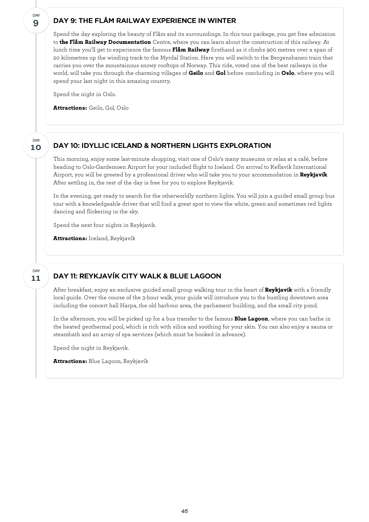#### DAY 9: THE FLÅM RAILWAY EXPERIENCE IN WINTER

Spend the day exploring the beauty of Flåm and its surroundings. In this tour package, you get free admission to **the Flåm Railway Documentation** Centre, where you can learn about the construction of this railway. At lunch time you'll get to experience the famous **Flåm Railway** firsthand as it climbs 900 metres over a span of 20 kilometres up the winding track to the Myrdal Station. Here you will switch to the Bergensbanen train that carries you over the mountainous snowy rooftops of Norway. This ride, voted one of the best railways in the world, will take you through the charming villages of **Geilo** and **Gol** before concluding in **Oslo**, where you will spend your last night in this amazing country.

Spend the night in Oslo.

**Attractions:** Geilo, Gol, Oslo

#### DAY 10: IDYLLIC ICELAND & NORTHERN LIGHTS EXPLORATION

This morning, enjoy some last-minute shopping, visit one of Oslo's many museums or relax at a café, before heading to Oslo-Gardemoen Airport for your included flight to Iceland. On arrival to Keflavik International Airport, you will be greeted by a professional driver who will take you to your accommodation in **Reykjavík**. After settling in, the rest of the day is free for you to explore Reykjavik.

In the evening, get ready to search for the otherworldly northern lights. You will join a guided small group bus tour with a knowledgeable driver that will find a great spot to view the white, green and sometimes red lights dancing and flickering in the sky.

Spend the next four nights in Reykjavik.

**Attractions:** Iceland, Reykjavík

#### **11 DAY**

**9**

**DAY** 

**10**

**DAY** 

#### DAY 11: REYKJAVÍK CITY WALK & BLUE LAGOON

After breakfast, enjoy an exclusive guided small group walking tour in the heart of **Reykjavik** with a friendly local guide. Over the course of the 3-hour walk, your guide will introduce you to the bustling downtown area including the concert hall Harpa, the old harbour area, the parliament building, and the small city pond.

In the afternoon, you will be picked up for a bus transfer to the famous **Blue Lagoon**, where you can bathe in the heated geothermal pool, which is rich with silica and soothing for your skin. You can also enjoy a sauna or steambath and an array of spa services (which must be booked in advance).

Spend the night in Reykjavik.

**Attractions:** Blue Lagoon, Reykjavík